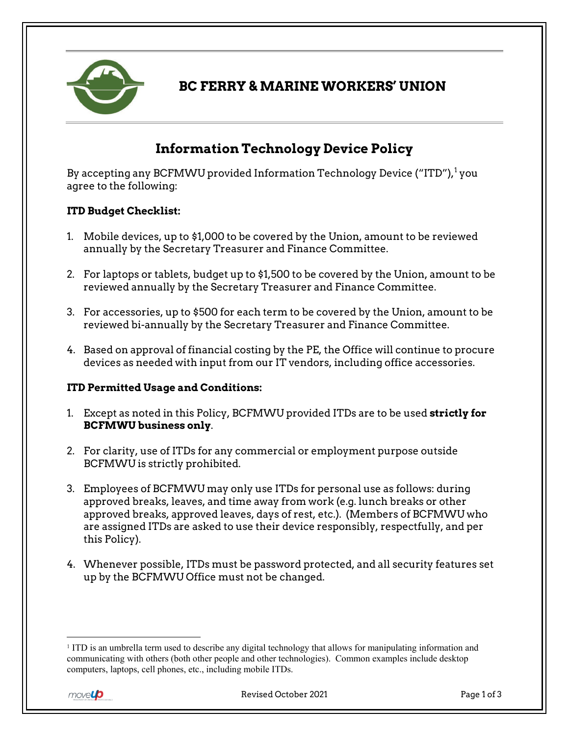

## **BC FERRY & MARINE WORKERS' UNION**

# **Information Technology Device Policy**

By accepting any BCFMWU provided Information Technology Device ("ITD"), $^1$  $^1$ you agree to the following:

#### **ITD Budget Checklist:**

- 1. Mobile devices, up to \$1,000 to be covered by the Union, amount to be reviewed annually by the Secretary Treasurer and Finance Committee.
- 2. For laptops or tablets, budget up to \$1,500 to be covered by the Union, amount to be reviewed annually by the Secretary Treasurer and Finance Committee.
- 3. For accessories, up to \$500 for each term to be covered by the Union, amount to be reviewed bi-annually by the Secretary Treasurer and Finance Committee.
- 4. Based on approval of financial costing by the PE, the Office will continue to procure devices as needed with input from our IT vendors, including office accessories.

#### **ITD Permitted Usage and Conditions:**

- 1. Except as noted in this Policy, BCFMWU provided ITDs are to be used **strictly for BCFMWU business only**.
- 2. For clarity, use of ITDs for any commercial or employment purpose outside BCFMWU is strictly prohibited.
- 3. Employees of BCFMWU may only use ITDs for personal use as follows: during approved breaks, leaves, and time away from work (e.g. lunch breaks or other approved breaks, approved leaves, days of rest, etc.). (Members of BCFMWU who are assigned ITDs are asked to use their device responsibly, respectfully, and per this Policy).
- 4. Whenever possible, ITDs must be password protected, and all security features set up by the BCFMWU Office must not be changed.

<span id="page-0-0"></span> <sup>1</sup> ITD is an umbrella term used to describe any digital technology that allows for manipulating information and communicating with others (both other people and other technologies). Common examples include desktop computers, laptops, cell phones, etc., including mobile ITDs.

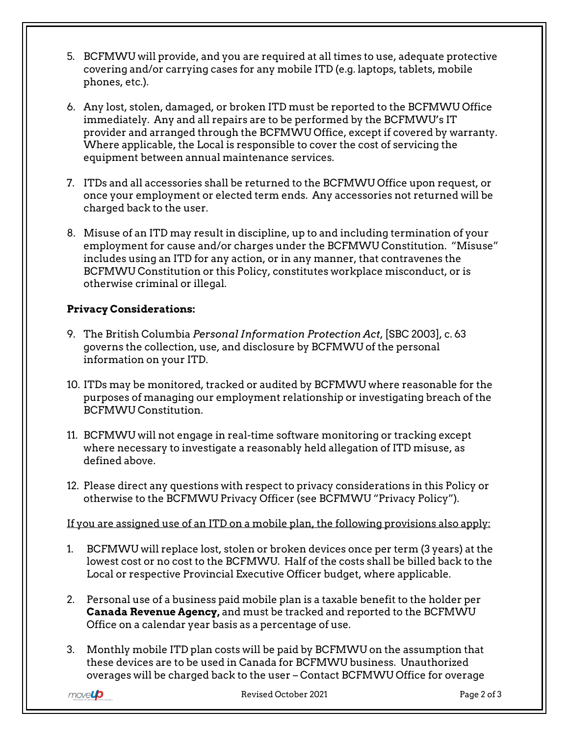- 5. BCFMWU will provide, and you are required at all times to use, adequate protective covering and/or carrying cases for any mobile ITD (e.g. laptops, tablets, mobile phones, etc.).
- 6. Any lost, stolen, damaged, or broken ITD must be reported to the BCFMWU Office immediately. Any and all repairs are to be performed by the BCFMWU's IT provider and arranged through the BCFMWU Office, except if covered by warranty. Where applicable, the Local is responsible to cover the cost of servicing the equipment between annual maintenance services.
- 7. ITDs and all accessories shall be returned to the BCFMWU Office upon request, or once your employment or elected term ends. Any accessories not returned will be charged back to the user.
- 8. Misuse of an ITD may result in discipline, up to and including termination of your employment for cause and/or charges under the BCFMWU Constitution. "Misuse" includes using an ITD for any action, or in any manner, that contravenes the BCFMWU Constitution or this Policy, constitutes workplace misconduct, or is otherwise criminal or illegal.

### **Privacy Considerations:**

- 9. The British Columbia *Personal Information Protection Act*, [SBC 2003], c. 63 governs the collection, use, and disclosure by BCFMWU of the personal information on your ITD.
- 10. ITDs may be monitored, tracked or audited by BCFMWU where reasonable for the purposes of managing our employment relationship or investigating breach of the BCFMWU Constitution.
- 11. BCFMWU will not engage in real-time software monitoring or tracking except where necessary to investigate a reasonably held allegation of ITD misuse, as defined above.
- 12. Please direct any questions with respect to privacy considerations in this Policy or otherwise to the BCFMWU Privacy Officer (see BCFMWU "Privacy Policy").

If you are assigned use of an ITD on a mobile plan, the following provisions also apply:

- 1. BCFMWU will replace lost, stolen or broken devices once per term (3 years) at the lowest cost or no cost to the BCFMWU. Half of the costs shall be billed back to the Local or respective Provincial Executive Officer budget, where applicable.
- 2. Personal use of a business paid mobile plan is a taxable benefit to the holder per **Canada Revenue Agency,** and must be tracked and reported to the BCFMWU Office on a calendar year basis as a percentage of use.
- 3. Monthly mobile ITD plan costs will be paid by BCFMWU on the assumption that these devices are to be used in Canada for BCFMWU business. Unauthorized overages will be charged back to the user – Contact BCFMWU Office for overage

movel**p**